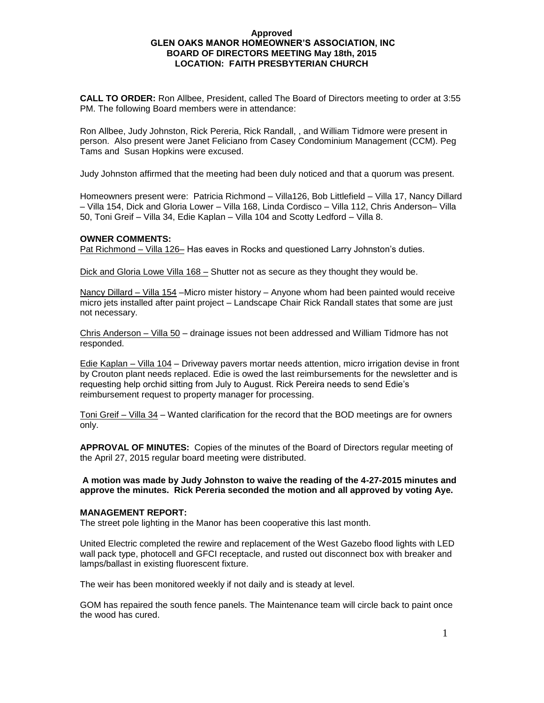#### **Approved GLEN OAKS MANOR HOMEOWNER'S ASSOCIATION, INC BOARD OF DIRECTORS MEETING May 18th, 2015 LOCATION: FAITH PRESBYTERIAN CHURCH**

**CALL TO ORDER:** Ron Allbee, President, called The Board of Directors meeting to order at 3:55 PM. The following Board members were in attendance:

Ron Allbee, Judy Johnston, Rick Pereria, Rick Randall, , and William Tidmore were present in person. Also present were Janet Feliciano from Casey Condominium Management (CCM). Peg Tams and Susan Hopkins were excused.

Judy Johnston affirmed that the meeting had been duly noticed and that a quorum was present.

Homeowners present were: Patricia Richmond – Villa126, Bob Littlefield – Villa 17, Nancy Dillard – Villa 154, Dick and Gloria Lower – Villa 168, Linda Cordisco – Villa 112, Chris Anderson– Villa 50, Toni Greif – Villa 34, Edie Kaplan – Villa 104 and Scotty Ledford – Villa 8.

## **OWNER COMMENTS:**

Pat Richmond – Villa 126– Has eaves in Rocks and questioned Larry Johnston's duties.

Dick and Gloria Lowe Villa 168 – Shutter not as secure as they thought they would be.

Nancy Dillard – Villa 154 –Micro mister history – Anyone whom had been painted would receive micro jets installed after paint project – Landscape Chair Rick Randall states that some are just not necessary.

Chris Anderson – Villa 50 – drainage issues not been addressed and William Tidmore has not responded.

Edie Kaplan – Villa 104 – Driveway pavers mortar needs attention, micro irrigation devise in front by Crouton plant needs replaced. Edie is owed the last reimbursements for the newsletter and is requesting help orchid sitting from July to August. Rick Pereira needs to send Edie's reimbursement request to property manager for processing.

Toni Greif – Villa 34 – Wanted clarification for the record that the BOD meetings are for owners only.

**APPROVAL OF MINUTES:** Copies of the minutes of the Board of Directors regular meeting of the April 27, 2015 regular board meeting were distributed.

#### **A motion was made by Judy Johnston to waive the reading of the 4-27-2015 minutes and approve the minutes. Rick Pereria seconded the motion and all approved by voting Aye.**

## **MANAGEMENT REPORT:**

The street pole lighting in the Manor has been cooperative this last month.

United Electric completed the rewire and replacement of the West Gazebo flood lights with LED wall pack type, photocell and GFCI receptacle, and rusted out disconnect box with breaker and lamps/ballast in existing fluorescent fixture.

The weir has been monitored weekly if not daily and is steady at level.

GOM has repaired the south fence panels. The Maintenance team will circle back to paint once the wood has cured.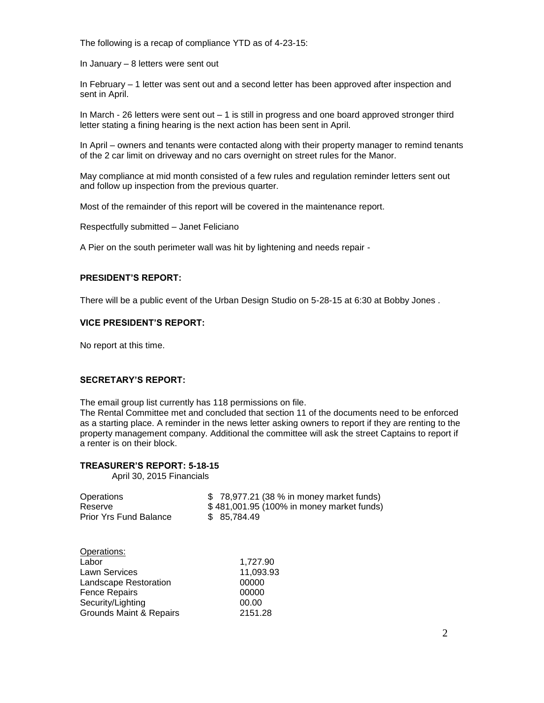The following is a recap of compliance YTD as of 4-23-15:

In January – 8 letters were sent out

In February – 1 letter was sent out and a second letter has been approved after inspection and sent in April.

In March - 26 letters were sent out – 1 is still in progress and one board approved stronger third letter stating a fining hearing is the next action has been sent in April.

In April – owners and tenants were contacted along with their property manager to remind tenants of the 2 car limit on driveway and no cars overnight on street rules for the Manor.

May compliance at mid month consisted of a few rules and regulation reminder letters sent out and follow up inspection from the previous quarter.

Most of the remainder of this report will be covered in the maintenance report.

Respectfully submitted – Janet Feliciano

A Pier on the south perimeter wall was hit by lightening and needs repair -

### **PRESIDENT'S REPORT:**

There will be a public event of the Urban Design Studio on 5-28-15 at 6:30 at Bobby Jones .

#### **VICE PRESIDENT'S REPORT:**

No report at this time.

## **SECRETARY'S REPORT:**

The email group list currently has 118 permissions on file.

The Rental Committee met and concluded that section 11 of the documents need to be enforced as a starting place. A reminder in the news letter asking owners to report if they are renting to the property management company. Additional the committee will ask the street Captains to report if a renter is on their block.

## **TREASURER'S REPORT: 5-18-15**

April 30, 2015 Financials

| Operations<br>Reserve<br><b>Prior Yrs Fund Balance</b> | \$78,977.21 (38 % in money market funds)<br>\$481,001.95 (100% in money market funds)<br>85,784.49<br>\$ |
|--------------------------------------------------------|----------------------------------------------------------------------------------------------------------|
| Operations:<br>Labor                                   | 1,727.90                                                                                                 |
| <b>Lawn Services</b>                                   | 11,093.93                                                                                                |
| Landscape Restoration                                  | 00000                                                                                                    |
| <b>Fence Repairs</b>                                   | 00000                                                                                                    |
| Security/Lighting                                      | 00.00                                                                                                    |
| Grounds Maint & Repairs                                | 2151.28                                                                                                  |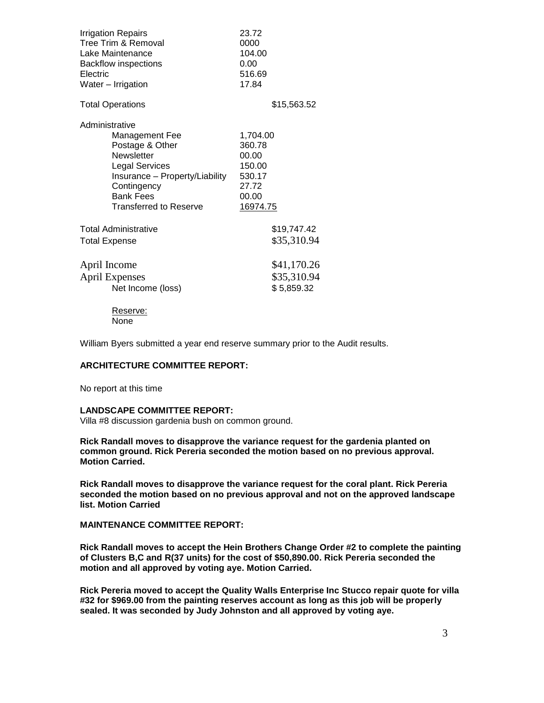| <b>Irrigation Repairs</b><br>Tree Trim & Removal<br>Lake Maintenance<br><b>Backflow inspections</b><br>Electric<br>Water - Irrigation                                                                          | 23.72<br>0000<br>104.00<br>0.00<br>516.69<br>17.84                            |
|----------------------------------------------------------------------------------------------------------------------------------------------------------------------------------------------------------------|-------------------------------------------------------------------------------|
| <b>Total Operations</b>                                                                                                                                                                                        | \$15,563.52                                                                   |
| Administrative<br><b>Management Fee</b><br>Postage & Other<br><b>Newsletter</b><br><b>Legal Services</b><br>Insurance - Property/Liability<br>Contingency<br><b>Bank Fees</b><br><b>Transferred to Reserve</b> | 1,704.00<br>360.78<br>00.00<br>150.00<br>530.17<br>27.72<br>00.00<br>16974.75 |
| <b>Total Administrative</b><br><b>Total Expense</b>                                                                                                                                                            | \$19,747.42<br>\$35,310.94                                                    |
| April Income<br><b>April Expenses</b><br>Net Income (loss)<br>Reserve:                                                                                                                                         | \$41,170.26<br>\$35,310.94<br>\$5,859.32                                      |
| None                                                                                                                                                                                                           |                                                                               |

William Byers submitted a year end reserve summary prior to the Audit results.

### **ARCHITECTURE COMMITTEE REPORT:**

No report at this time

#### **LANDSCAPE COMMITTEE REPORT:**

Villa #8 discussion gardenia bush on common ground.

**Rick Randall moves to disapprove the variance request for the gardenia planted on common ground. Rick Pereria seconded the motion based on no previous approval. Motion Carried.**

**Rick Randall moves to disapprove the variance request for the coral plant. Rick Pereria seconded the motion based on no previous approval and not on the approved landscape list. Motion Carried**

**MAINTENANCE COMMITTEE REPORT:**

**Rick Randall moves to accept the Hein Brothers Change Order #2 to complete the painting of Clusters B,C and R(37 units) for the cost of \$50,890.00. Rick Pereria seconded the motion and all approved by voting aye. Motion Carried.**

**Rick Pereria moved to accept the Quality Walls Enterprise Inc Stucco repair quote for villa #32 for \$969.00 from the painting reserves account as long as this job will be properly sealed. It was seconded by Judy Johnston and all approved by voting aye.**